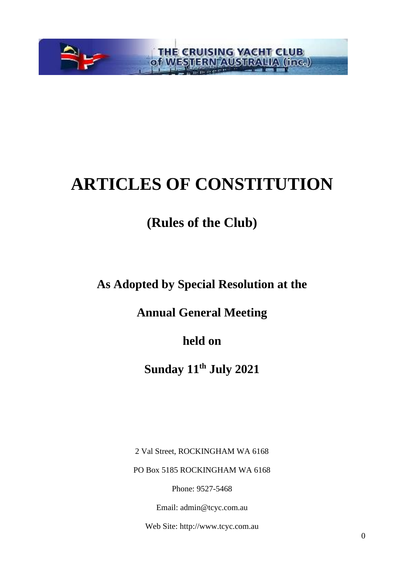

# **ARTICLES OF CONSTITUTION**

## **(Rules of the Club)**

**As Adopted by Special Resolution at the** 

**Annual General Meeting** 

**held on** 

**Sunday 11th July 2021**

2 Val Street, ROCKINGHAM WA 6168

PO Box 5185 ROCKINGHAM WA 6168

Phone: 9527-5468

Email: admin@tcyc.com.au

Web Site: http://www.tcyc.com.au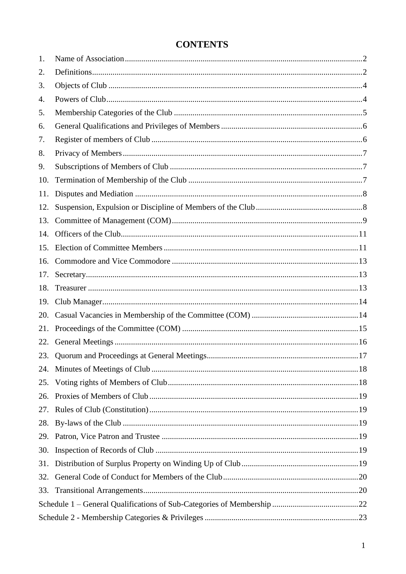| 1.  |  |
|-----|--|
| 2.  |  |
| 3.  |  |
| 4.  |  |
| 5.  |  |
| 6.  |  |
| 7.  |  |
| 8.  |  |
| 9.  |  |
| 10. |  |
| 11. |  |
| 12. |  |
| 13. |  |
| 14. |  |
| 15. |  |
| 16. |  |
| 17. |  |
| 18. |  |
| 19. |  |
| 20. |  |
| 21. |  |
| 22. |  |
| 23. |  |
|     |  |
| 25. |  |
| 26. |  |
| 27. |  |
| 28. |  |
| 29. |  |
| 30. |  |
| 31. |  |
| 32. |  |
| 33. |  |
|     |  |
|     |  |

## **CONTENTS**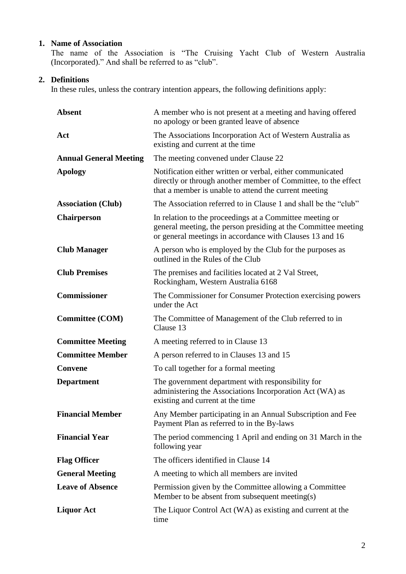#### <span id="page-2-0"></span>**1. Name of Association**

The name of the Association is "The Cruising Yacht Club of Western Australia (Incorporated)." And shall be referred to as "club".

#### <span id="page-2-1"></span>**2. Definitions**

In these rules, unless the contrary intention appears, the following definitions apply:

| <b>Absent</b>                 | A member who is not present at a meeting and having offered<br>no apology or been granted leave of absence                                                                             |  |  |  |  |  |  |  |
|-------------------------------|----------------------------------------------------------------------------------------------------------------------------------------------------------------------------------------|--|--|--|--|--|--|--|
| Act                           | The Associations Incorporation Act of Western Australia as<br>existing and current at the time                                                                                         |  |  |  |  |  |  |  |
| <b>Annual General Meeting</b> | The meeting convened under Clause 22                                                                                                                                                   |  |  |  |  |  |  |  |
| <b>Apology</b>                | Notification either written or verbal, either communicated<br>directly or through another member of Committee, to the effect<br>that a member is unable to attend the current meeting  |  |  |  |  |  |  |  |
| <b>Association (Club)</b>     | The Association referred to in Clause 1 and shall be the "club"                                                                                                                        |  |  |  |  |  |  |  |
| <b>Chairperson</b>            | In relation to the proceedings at a Committee meeting or<br>general meeting, the person presiding at the Committee meeting<br>or general meetings in accordance with Clauses 13 and 16 |  |  |  |  |  |  |  |
| <b>Club Manager</b>           | A person who is employed by the Club for the purposes as<br>outlined in the Rules of the Club                                                                                          |  |  |  |  |  |  |  |
| <b>Club Premises</b>          | The premises and facilities located at 2 Val Street,<br>Rockingham, Western Australia 6168                                                                                             |  |  |  |  |  |  |  |
| <b>Commissioner</b>           | The Commissioner for Consumer Protection exercising powers<br>under the Act                                                                                                            |  |  |  |  |  |  |  |
| <b>Committee (COM)</b>        | The Committee of Management of the Club referred to in<br>Clause 13                                                                                                                    |  |  |  |  |  |  |  |
|                               |                                                                                                                                                                                        |  |  |  |  |  |  |  |
| <b>Committee Meeting</b>      | A meeting referred to in Clause 13                                                                                                                                                     |  |  |  |  |  |  |  |
| <b>Committee Member</b>       | A person referred to in Clauses 13 and 15                                                                                                                                              |  |  |  |  |  |  |  |
| Convene                       | To call together for a formal meeting                                                                                                                                                  |  |  |  |  |  |  |  |
| <b>Department</b>             | The government department with responsibility for<br>administering the Associations Incorporation Act (WA) as<br>existing and current at the time                                      |  |  |  |  |  |  |  |
| <b>Financial Member</b>       | Any Member participating in an Annual Subscription and Fee<br>Payment Plan as referred to in the By-laws                                                                               |  |  |  |  |  |  |  |
| <b>Financial Year</b>         | The period commencing 1 April and ending on 31 March in the<br>following year                                                                                                          |  |  |  |  |  |  |  |
| <b>Flag Officer</b>           | The officers identified in Clause 14                                                                                                                                                   |  |  |  |  |  |  |  |
| <b>General Meeting</b>        | A meeting to which all members are invited                                                                                                                                             |  |  |  |  |  |  |  |
| <b>Leave of Absence</b>       | Permission given by the Committee allowing a Committee<br>Member to be absent from subsequent meeting(s)                                                                               |  |  |  |  |  |  |  |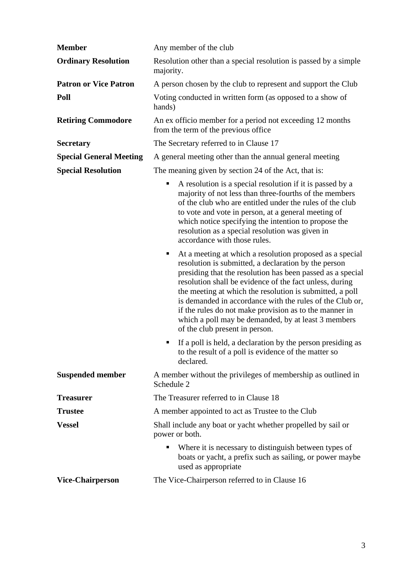| <b>Member</b>                  | Any member of the club                                                                                                                                                                                                                                                                                                                                                                                                                                                                                                    |  |  |  |  |  |
|--------------------------------|---------------------------------------------------------------------------------------------------------------------------------------------------------------------------------------------------------------------------------------------------------------------------------------------------------------------------------------------------------------------------------------------------------------------------------------------------------------------------------------------------------------------------|--|--|--|--|--|
| <b>Ordinary Resolution</b>     | Resolution other than a special resolution is passed by a simple<br>majority.                                                                                                                                                                                                                                                                                                                                                                                                                                             |  |  |  |  |  |
| <b>Patron or Vice Patron</b>   | A person chosen by the club to represent and support the Club                                                                                                                                                                                                                                                                                                                                                                                                                                                             |  |  |  |  |  |
| Poll                           | Voting conducted in written form (as opposed to a show of<br>hands)                                                                                                                                                                                                                                                                                                                                                                                                                                                       |  |  |  |  |  |
| <b>Retiring Commodore</b>      | An ex officio member for a period not exceeding 12 months<br>from the term of the previous office                                                                                                                                                                                                                                                                                                                                                                                                                         |  |  |  |  |  |
| <b>Secretary</b>               | The Secretary referred to in Clause 17                                                                                                                                                                                                                                                                                                                                                                                                                                                                                    |  |  |  |  |  |
| <b>Special General Meeting</b> | A general meeting other than the annual general meeting                                                                                                                                                                                                                                                                                                                                                                                                                                                                   |  |  |  |  |  |
| <b>Special Resolution</b>      | The meaning given by section 24 of the Act, that is:                                                                                                                                                                                                                                                                                                                                                                                                                                                                      |  |  |  |  |  |
|                                | A resolution is a special resolution if it is passed by a<br>ш<br>majority of not less than three-fourths of the members<br>of the club who are entitled under the rules of the club<br>to vote and vote in person, at a general meeting of<br>which notice specifying the intention to propose the<br>resolution as a special resolution was given in<br>accordance with those rules.                                                                                                                                    |  |  |  |  |  |
|                                | At a meeting at which a resolution proposed as a special<br>ш<br>resolution is submitted, a declaration by the person<br>presiding that the resolution has been passed as a special<br>resolution shall be evidence of the fact unless, during<br>the meeting at which the resolution is submitted, a poll<br>is demanded in accordance with the rules of the Club or,<br>if the rules do not make provision as to the manner in<br>which a poll may be demanded, by at least 3 members<br>of the club present in person. |  |  |  |  |  |
|                                | If a poll is held, a declaration by the person presiding as<br>to the result of a poll is evidence of the matter so<br>declared.                                                                                                                                                                                                                                                                                                                                                                                          |  |  |  |  |  |
| <b>Suspended member</b>        | A member without the privileges of membership as outlined in<br>Schedule 2                                                                                                                                                                                                                                                                                                                                                                                                                                                |  |  |  |  |  |
| <b>Treasurer</b>               | The Treasurer referred to in Clause 18                                                                                                                                                                                                                                                                                                                                                                                                                                                                                    |  |  |  |  |  |
| <b>Trustee</b>                 | A member appointed to act as Trustee to the Club                                                                                                                                                                                                                                                                                                                                                                                                                                                                          |  |  |  |  |  |
| <b>Vessel</b>                  | Shall include any boat or yacht whether propelled by sail or<br>power or both.                                                                                                                                                                                                                                                                                                                                                                                                                                            |  |  |  |  |  |
|                                | Where it is necessary to distinguish between types of<br>ш<br>boats or yacht, a prefix such as sailing, or power maybe<br>used as appropriate                                                                                                                                                                                                                                                                                                                                                                             |  |  |  |  |  |
| <b>Vice-Chairperson</b>        | The Vice-Chairperson referred to in Clause 16                                                                                                                                                                                                                                                                                                                                                                                                                                                                             |  |  |  |  |  |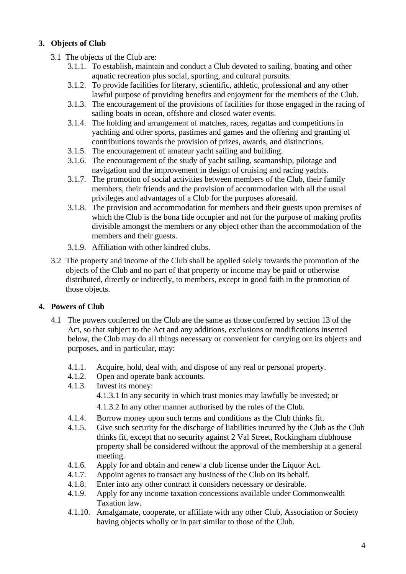#### <span id="page-4-0"></span>**3. Objects of Club**

- 3.1 The objects of the Club are:
	- 3.1.1. To establish, maintain and conduct a Club devoted to sailing, boating and other aquatic recreation plus social, sporting, and cultural pursuits.
	- 3.1.2. To provide facilities for literary, scientific, athletic, professional and any other lawful purpose of providing benefits and enjoyment for the members of the Club.
	- 3.1.3. The encouragement of the provisions of facilities for those engaged in the racing of sailing boats in ocean, offshore and closed water events.
	- 3.1.4. The holding and arrangement of matches, races, regattas and competitions in yachting and other sports, pastimes and games and the offering and granting of contributions towards the provision of prizes, awards, and distinctions.
	- 3.1.5. The encouragement of amateur yacht sailing and building.
	- 3.1.6. The encouragement of the study of yacht sailing, seamanship, pilotage and navigation and the improvement in design of cruising and racing yachts.
	- 3.1.7. The promotion of social activities between members of the Club, their family members, their friends and the provision of accommodation with all the usual privileges and advantages of a Club for the purposes aforesaid.
	- 3.1.8. The provision and accommodation for members and their guests upon premises of which the Club is the bona fide occupier and not for the purpose of making profits divisible amongst the members or any object other than the accommodation of the members and their guests.
	- 3.1.9. Affiliation with other kindred clubs.
- 3.2 The property and income of the Club shall be applied solely towards the promotion of the objects of the Club and no part of that property or income may be paid or otherwise distributed, directly or indirectly, to members, except in good faith in the promotion of those objects.

#### <span id="page-4-1"></span>**4. Powers of Club**

- 4.1 The powers conferred on the Club are the same as those conferred by section 13 of the Act, so that subject to the Act and any additions, exclusions or modifications inserted below, the Club may do all things necessary or convenient for carrying out its objects and purposes, and in particular, may:
	- 4.1.1. Acquire, hold, deal with, and dispose of any real or personal property.
	- 4.1.2. Open and operate bank accounts.
	- 4.1.3. Invest its money:

4.1.3.1 In any security in which trust monies may lawfully be invested; or

4.1.3.2 In any other manner authorised by the rules of the Club.

- 4.1.4. Borrow money upon such terms and conditions as the Club thinks fit.
- 4.1.5. Give such security for the discharge of liabilities incurred by the Club as the Club thinks fit, except that no security against 2 Val Street, Rockingham clubhouse property shall be considered without the approval of the membership at a general meeting.
- 4.1.6. Apply for and obtain and renew a club license under the Liquor Act.
- 4.1.7. Appoint agents to transact any business of the Club on its behalf.
- 4.1.8. Enter into any other contract it considers necessary or desirable.
- 4.1.9. Apply for any income taxation concessions available under Commonwealth Taxation law.
- 4.1.10. Amalgamate, cooperate, or affiliate with any other Club, Association or Society having objects wholly or in part similar to those of the Club.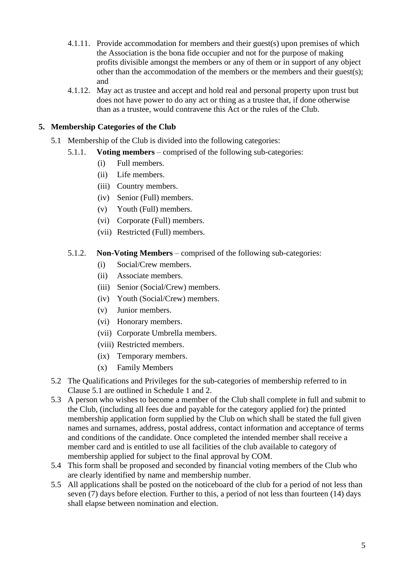- 4.1.11. Provide accommodation for members and their guest(s) upon premises of which the Association is the bona fide occupier and not for the purpose of making profits divisible amongst the members or any of them or in support of any object other than the accommodation of the members or the members and their guest(s); and
- 4.1.12. May act as trustee and accept and hold real and personal property upon trust but does not have power to do any act or thing as a trustee that, if done otherwise than as a trustee, would contravene this Act or the rules of the Club.

#### <span id="page-5-0"></span>**5. Membership Categories of the Club**

- 5.1 Membership of the Club is divided into the following categories:
	- 5.1.1. **Voting members** comprised of the following sub-categories:
		- (i) Full members.
		- (ii) Life members.
		- (iii) Country members.
		- (iv) Senior (Full) members.
		- (v) Youth (Full) members.
		- (vi) Corporate (Full) members.
		- (vii) Restricted (Full) members.

#### 5.1.2. **Non-Voting Members** – comprised of the following sub-categories:

- (i) Social/Crew members.
- (ii) Associate members.
- (iii) Senior (Social/Crew) members.
- (iv) Youth (Social/Crew) members.
- (v) Junior members.
- (vi) Honorary members.
- (vii) Corporate Umbrella members.
- (viii) Restricted members.
- (ix) Temporary members.
- (x) Family Members
- 5.2 The Qualifications and Privileges for the sub-categories of membership referred to in Clause 5.1 are outlined in Schedule 1 and 2.
- 5.3 A person who wishes to become a member of the Club shall complete in full and submit to the Club, (including all fees due and payable for the category applied for) the printed membership application form supplied by the Club on which shall be stated the full given names and surnames, address, postal address, contact information and acceptance of terms and conditions of the candidate. Once completed the intended member shall receive a member card and is entitled to use all facilities of the club available to category of membership applied for subject to the final approval by COM.
- 5.4 This form shall be proposed and seconded by financial voting members of the Club who are clearly identified by name and membership number.
- 5.5 All applications shall be posted on the noticeboard of the club for a period of not less than seven (7) days before election. Further to this, a period of not less than fourteen (14) days shall elapse between nomination and election.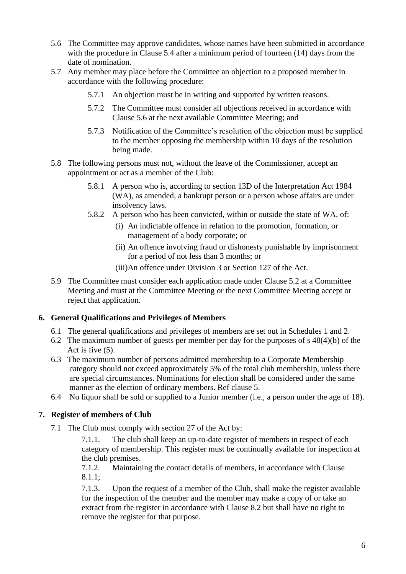- 5.6 The Committee may approve candidates, whose names have been submitted in accordance with the procedure in Clause 5.4 after a minimum period of fourteen (14) days from the date of nomination.
- 5.7 Any member may place before the Committee an objection to a proposed member in accordance with the following procedure:
	- 5.7.1 An objection must be in writing and supported by written reasons.
	- 5.7.2 The Committee must consider all objections received in accordance with Clause 5.6 at the next available Committee Meeting; and
	- 5.7.3 Notification of the Committee's resolution of the objection must be supplied to the member opposing the membership within 10 days of the resolution being made.
- 5.8 The following persons must not, without the leave of the Commissioner, accept an appointment or act as a member of the Club:
	- 5.8.1 A person who is, according to section 13D of the Interpretation Act 1984 (WA), as amended, a bankrupt person or a person whose affairs are under insolvency laws.
	- 5.8.2 A person who has been convicted, within or outside the state of WA, of:
		- (i) An indictable offence in relation to the promotion, formation, or management of a body corporate; or
		- (ii) An offence involving fraud or dishonesty punishable by imprisonment for a period of not less than 3 months; or
		- (iii)An offence under Division 3 or Section 127 of the Act.
- 5.9 The Committee must consider each application made under Clause 5.2 at a Committee Meeting and must at the Committee Meeting or the next Committee Meeting accept or reject that application.

#### <span id="page-6-0"></span>**6. General Qualifications and Privileges of Members**

- 6.1 The general qualifications and privileges of members are set out in Schedules 1 and 2.
- 6.2 The maximum number of guests per member per day for the purposes of s 48(4)(b) of the Act is five (5).
- 6.3 The maximum number of persons admitted membership to a Corporate Membership category should not exceed approximately 5% of the total club membership, unless there are special circumstances. Nominations for election shall be considered under the same manner as the election of ordinary members. Ref clause 5.
- 6.4 No liquor shall be sold or supplied to a Junior member (i.e., a person under the age of 18).

#### <span id="page-6-1"></span>**7. Register of members of Club**

7.1 The Club must comply with section 27 of the Act by:

7.1.1. The club shall keep an up-to-date register of members in respect of each category of membership. This register must be continually available for inspection at the club premises.

7.1.2. Maintaining the contact details of members, in accordance with Clause 8.1.1;

7.1.3. Upon the request of a member of the Club, shall make the register available for the inspection of the member and the member may make a copy of or take an extract from the register in accordance with Clause 8.2 but shall have no right to remove the register for that purpose.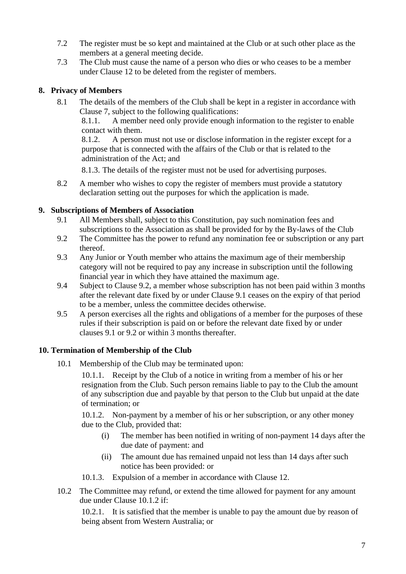- 7.2 The register must be so kept and maintained at the Club or at such other place as the members at a general meeting decide.
- 7.3 The Club must cause the name of a person who dies or who ceases to be a member under Clause 12 to be deleted from the register of members.

#### <span id="page-7-0"></span>**8. Privacy of Members**

8.1 The details of the members of the Club shall be kept in a register in accordance with Clause 7, subject to the following qualifications:

8.1.1. A member need only provide enough information to the register to enable contact with them.

8.1.2. A person must not use or disclose information in the register except for a purpose that is connected with the affairs of the Club or that is related to the administration of the Act; and

8.1.3. The details of the register must not be used for advertising purposes.

8.2 A member who wishes to copy the register of members must provide a statutory declaration setting out the purposes for which the application is made.

#### <span id="page-7-1"></span>**9. Subscriptions of Members of Association**

- 9.1 All Members shall, subject to this Constitution, pay such nomination fees and subscriptions to the Association as shall be provided for by the By-laws of the Club
- 9.2 The Committee has the power to refund any nomination fee or subscription or any part thereof.
- 9.3 Any Junior or Youth member who attains the maximum age of their membership category will not be required to pay any increase in subscription until the following financial year in which they have attained the maximum age.
- 9.4 Subject to Clause 9.2, a member whose subscription has not been paid within 3 months after the relevant date fixed by or under Clause 9.1 ceases on the expiry of that period to be a member, unless the committee decides otherwise.
- 9.5 A person exercises all the rights and obligations of a member for the purposes of these rules if their subscription is paid on or before the relevant date fixed by or under clauses 9.1 or 9.2 or within 3 months thereafter.

#### **10. Termination of Membership of the Club**

10.1 Membership of the Club may be terminated upon:

10.1.1. Receipt by the Club of a notice in writing from a member of his or her resignation from the Club. Such person remains liable to pay to the Club the amount of any subscription due and payable by that person to the Club but unpaid at the date of termination; or

10.1.2. Non-payment by a member of his or her subscription, or any other money due to the Club, provided that:

- (i) The member has been notified in writing of non-payment 14 days after the due date of payment: and
- (ii) The amount due has remained unpaid not less than 14 days after such notice has been provided: or
- 10.1.3. Expulsion of a member in accordance with Clause 12.
- 10.2 The Committee may refund, or extend the time allowed for payment for any amount due under Clause 10.1.2 if:

10.2.1. It is satisfied that the member is unable to pay the amount due by reason of being absent from Western Australia; or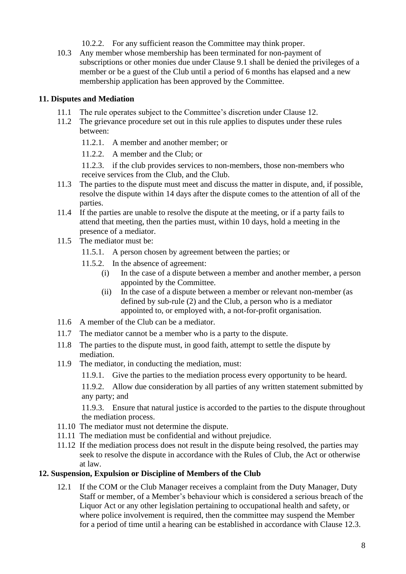- 10.2.2. For any sufficient reason the Committee may think proper.
- 10.3 Any member whose membership has been terminated for non-payment of subscriptions or other monies due under Clause 9.1 shall be denied the privileges of a member or be a guest of the Club until a period of 6 months has elapsed and a new membership application has been approved by the Committee.

#### <span id="page-8-0"></span>**11. Disputes and Mediation**

- 11.1 The rule operates subject to the Committee's discretion under Clause 12.
- 11.2 The grievance procedure set out in this rule applies to disputes under these rules between:
	- 11.2.1. A member and another member; or
	- 11.2.2. A member and the Club; or

11.2.3. if the club provides services to non-members, those non-members who receive services from the Club, and the Club.

- 11.3 The parties to the dispute must meet and discuss the matter in dispute, and, if possible, resolve the dispute within 14 days after the dispute comes to the attention of all of the parties.
- 11.4 If the parties are unable to resolve the dispute at the meeting, or if a party fails to attend that meeting, then the parties must, within 10 days, hold a meeting in the presence of a mediator.
- 11.5 The mediator must be:
	- 11.5.1. A person chosen by agreement between the parties; or
	- 11.5.2. In the absence of agreement:
		- (i) In the case of a dispute between a member and another member, a person appointed by the Committee.
		- (ii) In the case of a dispute between a member or relevant non-member (as defined by sub-rule (2) and the Club, a person who is a mediator appointed to, or employed with, a not-for-profit organisation.
- 11.6 A member of the Club can be a mediator.
- 11.7 The mediator cannot be a member who is a party to the dispute.
- 11.8 The parties to the dispute must, in good faith, attempt to settle the dispute by mediation.
- 11.9 The mediator, in conducting the mediation, must:
	- 11.9.1. Give the parties to the mediation process every opportunity to be heard.

11.9.2. Allow due consideration by all parties of any written statement submitted by any party; and

11.9.3. Ensure that natural justice is accorded to the parties to the dispute throughout the mediation process.

- 11.10 The mediator must not determine the dispute.
- 11.11 The mediation must be confidential and without prejudice.
- 11.12 If the mediation process does not result in the dispute being resolved, the parties may seek to resolve the dispute in accordance with the Rules of Club, the Act or otherwise at law.

#### <span id="page-8-1"></span>**12. Suspension, Expulsion or Discipline of Members of the Club**

12.1 If the COM or the Club Manager receives a complaint from the Duty Manager, Duty Staff or member, of a Member's behaviour which is considered a serious breach of the Liquor Act or any other legislation pertaining to occupational health and safety, or where police involvement is required, then the committee may suspend the Member for a period of time until a hearing can be established in accordance with Clause 12.3.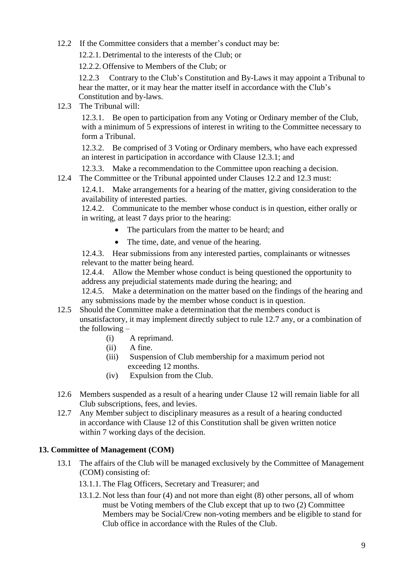12.2 If the Committee considers that a member's conduct may be:

12.2.1. Detrimental to the interests of the Club; or

12.2.2. Offensive to Members of the Club; or

12.2.3 Contrary to the Club's Constitution and By-Laws it may appoint a Tribunal to hear the matter, or it may hear the matter itself in accordance with the Club's Constitution and by-laws.

12.3 The Tribunal will:

12.3.1. Be open to participation from any Voting or Ordinary member of the Club, with a minimum of 5 expressions of interest in writing to the Committee necessary to form a Tribunal.

12.3.2. Be comprised of 3 Voting or Ordinary members, who have each expressed an interest in participation in accordance with Clause 12.3.1; and

12.3.3. Make a recommendation to the Committee upon reaching a decision.

12.4 The Committee or the Tribunal appointed under Clauses 12.2 and 12.3 must:

12.4.1. Make arrangements for a hearing of the matter, giving consideration to the availability of interested parties.

12.4.2. Communicate to the member whose conduct is in question, either orally or in writing, at least 7 days prior to the hearing:

- The particulars from the matter to be heard; and
- The time, date, and venue of the hearing.

12.4.3. Hear submissions from any interested parties, complainants or witnesses relevant to the matter being heard.

12.4.4. Allow the Member whose conduct is being questioned the opportunity to address any prejudicial statements made during the hearing; and

12.4.5. Make a determination on the matter based on the findings of the hearing and any submissions made by the member whose conduct is in question.

- 12.5 Should the Committee make a determination that the members conduct is unsatisfactory, it may implement directly subject to rule 12.7 any, or a combination of the following –
	- (i) A reprimand.
	- (ii) A fine.
	- (iii) Suspension of Club membership for a maximum period not exceeding 12 months.
	- (iv) Expulsion from the Club.
- 12.6 Members suspended as a result of a hearing under Clause 12 will remain liable for all Club subscriptions, fees, and levies.
- 12.7 Any Member subject to disciplinary measures as a result of a hearing conducted in accordance with Clause 12 of this Constitution shall be given written notice within 7 working days of the decision.

#### <span id="page-9-0"></span>**13. Committee of Management (COM)**

- 13.1 The affairs of the Club will be managed exclusively by the Committee of Management (COM) consisting of:
	- 13.1.1. The Flag Officers, Secretary and Treasurer; and
	- 13.1.2. Not less than four (4) and not more than eight (8) other persons, all of whom must be Voting members of the Club except that up to two (2) Committee Members may be Social/Crew non-voting members and be eligible to stand for Club office in accordance with the Rules of the Club.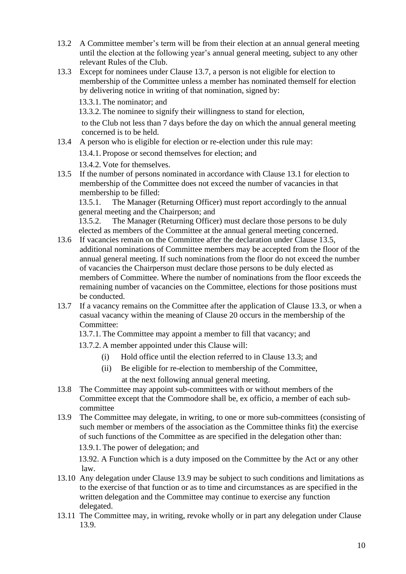- 13.2 A Committee member's term will be from their election at an annual general meeting until the election at the following year's annual general meeting, subject to any other relevant Rules of the Club.
- 13.3 Except for nominees under Clause 13.7, a person is not eligible for election to membership of the Committee unless a member has nominated themself for election by delivering notice in writing of that nomination, signed by:

13.3.1. The nominator; and

13.3.2. The nominee to signify their willingness to stand for election,

to the Club not less than 7 days before the day on which the annual general meeting concerned is to be held.

13.4 A person who is eligible for election or re-election under this rule may:

13.4.1. Propose or second themselves for election; and

13.4.2. Vote for themselves.

13.5 If the number of persons nominated in accordance with Clause 13.1 for election to membership of the Committee does not exceed the number of vacancies in that membership to be filled:

13.5.1. The Manager (Returning Officer) must report accordingly to the annual general meeting and the Chairperson; and

13.5.2. The Manager (Returning Officer) must declare those persons to be duly elected as members of the Committee at the annual general meeting concerned.

- 13.6 If vacancies remain on the Committee after the declaration under Clause 13.5, additional nominations of Committee members may be accepted from the floor of the annual general meeting. If such nominations from the floor do not exceed the number of vacancies the Chairperson must declare those persons to be duly elected as members of Committee. Where the number of nominations from the floor exceeds the remaining number of vacancies on the Committee, elections for those positions must be conducted.
- 13.7 If a vacancy remains on the Committee after the application of Clause 13.3, or when a casual vacancy within the meaning of Clause 20 occurs in the membership of the Committee:
	- 13.7.1. The Committee may appoint a member to fill that vacancy; and
	- 13.7.2. A member appointed under this Clause will:
		- (i) Hold office until the election referred to in Clause 13.3; and
		- (ii) Be eligible for re-election to membership of the Committee, at the next following annual general meeting.
- 13.8 The Committee may appoint sub-committees with or without members of the Committee except that the Commodore shall be, ex officio, a member of each subcommittee
- 13.9 The Committee may delegate, in writing, to one or more sub-committees (consisting of such member or members of the association as the Committee thinks fit) the exercise of such functions of the Committee as are specified in the delegation other than:
	- 13.9.1. The power of delegation; and

13.92. A Function which is a duty imposed on the Committee by the Act or any other law.

- 13.10 Any delegation under Clause 13.9 may be subject to such conditions and limitations as to the exercise of that function or as to time and circumstances as are specified in the written delegation and the Committee may continue to exercise any function delegated.
- 13.11 The Committee may, in writing, revoke wholly or in part any delegation under Clause 13.9.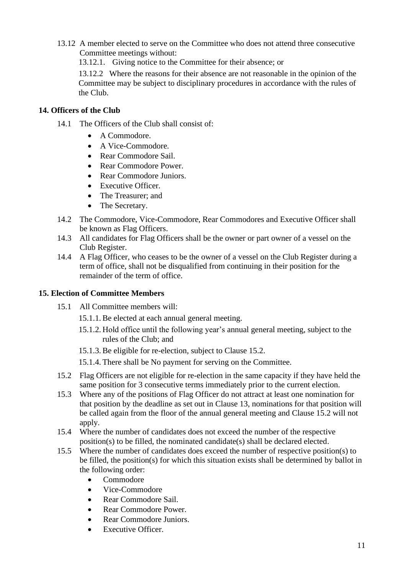13.12 A member elected to serve on the Committee who does not attend three consecutive Committee meetings without:

13.12.1. Giving notice to the Committee for their absence; or

13.12.2 Where the reasons for their absence are not reasonable in the opinion of the Committee may be subject to disciplinary procedures in accordance with the rules of the Club.

#### <span id="page-11-0"></span>**14. Officers of the Club**

- 14.1 The Officers of the Club shall consist of:
	- A Commodore.
	- A Vice-Commodore.
	- Rear Commodore Sail.
	- Rear Commodore Power.
	- Rear Commodore Juniors.
	- Executive Officer.
	- The Treasurer; and
	- The Secretary.
- 14.2 The Commodore, Vice-Commodore, Rear Commodores and Executive Officer shall be known as Flag Officers.
- 14.3 All candidates for Flag Officers shall be the owner or part owner of a vessel on the Club Register.
- 14.4 A Flag Officer, who ceases to be the owner of a vessel on the Club Register during a term of office, shall not be disqualified from continuing in their position for the remainder of the term of office.

#### <span id="page-11-1"></span>**15. Election of Committee Members**

- 15.1 All Committee members will:
	- 15.1.1. Be elected at each annual general meeting.
	- 15.1.2. Hold office until the following year's annual general meeting, subject to the rules of the Club; and
	- 15.1.3. Be eligible for re-election, subject to Clause 15.2.
	- 15.1.4. There shall be No payment for serving on the Committee.
- 15.2 Flag Officers are not eligible for re-election in the same capacity if they have held the same position for 3 consecutive terms immediately prior to the current election.
- 15.3 Where any of the positions of Flag Officer do not attract at least one nomination for that position by the deadline as set out in Clause 13, nominations for that position will be called again from the floor of the annual general meeting and Clause 15.2 will not apply.
- 15.4 Where the number of candidates does not exceed the number of the respective position(s) to be filled, the nominated candidate(s) shall be declared elected.
- 15.5 Where the number of candidates does exceed the number of respective position(s) to be filled, the position(s) for which this situation exists shall be determined by ballot in the following order:
	- Commodore
	- Vice-Commodore
	- Rear Commodore Sail.
	- Rear Commodore Power.
	- Rear Commodore Juniors.
	- Executive Officer.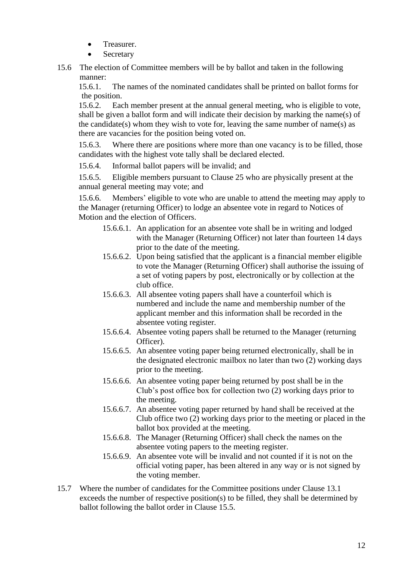- Treasurer.
- **Secretary**
- 15.6 The election of Committee members will be by ballot and taken in the following manner:<br>15.6.1.

The names of the nominated candidates shall be printed on ballot forms for the position.

15.6.2. Each member present at the annual general meeting, who is eligible to vote, shall be given a ballot form and will indicate their decision by marking the name(s) of the candidate(s) whom they wish to vote for, leaving the same number of name(s) as there are vacancies for the position being voted on.

15.6.3. Where there are positions where more than one vacancy is to be filled, those candidates with the highest vote tally shall be declared elected.

15.6.4. Informal ballot papers will be invalid; and

15.6.5. Eligible members pursuant to Clause 25 who are physically present at the annual general meeting may vote; and

15.6.6. Members' eligible to vote who are unable to attend the meeting may apply to the Manager (returning Officer) to lodge an absentee vote in regard to Notices of Motion and the election of Officers.

- 15.6.6.1. An application for an absentee vote shall be in writing and lodged with the Manager (Returning Officer) not later than fourteen 14 days prior to the date of the meeting.
- 15.6.6.2. Upon being satisfied that the applicant is a financial member eligible to vote the Manager (Returning Officer) shall authorise the issuing of a set of voting papers by post, electronically or by collection at the club office.
- 15.6.6.3. All absentee voting papers shall have a counterfoil which is numbered and include the name and membership number of the applicant member and this information shall be recorded in the absentee voting register.
- 15.6.6.4. Absentee voting papers shall be returned to the Manager (returning Officer).
- 15.6.6.5. An absentee voting paper being returned electronically, shall be in the designated electronic mailbox no later than two (2) working days prior to the meeting.
- 15.6.6.6. An absentee voting paper being returned by post shall be in the Club's post office box for collection two (2) working days prior to the meeting.
- 15.6.6.7. An absentee voting paper returned by hand shall be received at the Club office two (2) working days prior to the meeting or placed in the ballot box provided at the meeting.
- 15.6.6.8. The Manager (Returning Officer) shall check the names on the absentee voting papers to the meeting register.
- 15.6.6.9. An absentee vote will be invalid and not counted if it is not on the official voting paper, has been altered in any way or is not signed by the voting member.
- 15.7 Where the number of candidates for the Committee positions under Clause 13.1 exceeds the number of respective position(s) to be filled, they shall be determined by ballot following the ballot order in Clause 15.5.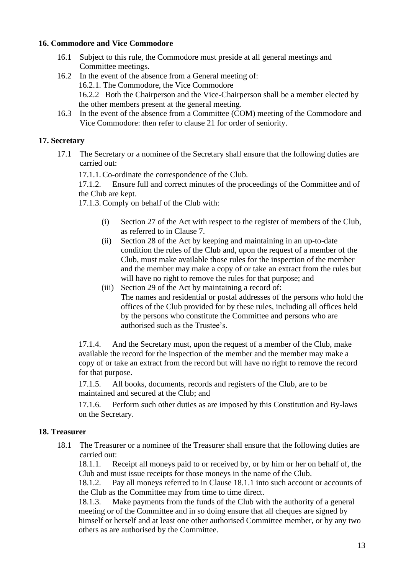#### <span id="page-13-0"></span>**16. Commodore and Vice Commodore**

- 16.1 Subject to this rule, the Commodore must preside at all general meetings and Committee meetings.
- 16.2 In the event of the absence from a General meeting of: 16.2.1. The Commodore, the Vice Commodore 16.2.2 Both the Chairperson and the Vice-Chairperson shall be a member elected by the other members present at the general meeting.
- 16.3 In the event of the absence from a Committee (COM) meeting of the Commodore and Vice Commodore: then refer to clause 21 for order of seniority.

#### <span id="page-13-1"></span>**17. Secretary**

17.1 The Secretary or a nominee of the Secretary shall ensure that the following duties are carried out:

17.1.1. Co-ordinate the correspondence of the Club.

17.1.2. Ensure full and correct minutes of the proceedings of the Committee and of the Club are kept.

17.1.3. Comply on behalf of the Club with:

- (i) Section 27 of the Act with respect to the register of members of the Club, as referred to in Clause 7.
- (ii) Section 28 of the Act by keeping and maintaining in an up-to-date condition the rules of the Club and, upon the request of a member of the Club, must make available those rules for the inspection of the member and the member may make a copy of or take an extract from the rules but will have no right to remove the rules for that purpose; and
- (iii) Section 29 of the Act by maintaining a record of: The names and residential or postal addresses of the persons who hold the offices of the Club provided for by these rules, including all offices held by the persons who constitute the Committee and persons who are authorised such as the Trustee's.

17.1.4. And the Secretary must, upon the request of a member of the Club, make available the record for the inspection of the member and the member may make a copy of or take an extract from the record but will have no right to remove the record for that purpose.

17.1.5. All books, documents, records and registers of the Club, are to be maintained and secured at the Club; and

17.1.6. Perform such other duties as are imposed by this Constitution and By-laws on the Secretary.

#### <span id="page-13-2"></span>**18. Treasurer**

18.1 The Treasurer or a nominee of the Treasurer shall ensure that the following duties are carried out:

18.1.1. Receipt all moneys paid to or received by, or by him or her on behalf of, the Club and must issue receipts for those moneys in the name of the Club.

18.1.2. Pay all moneys referred to in Clause 18.1.1 into such account or accounts of the Club as the Committee may from time to time direct.

18.1.3. Make payments from the funds of the Club with the authority of a general meeting or of the Committee and in so doing ensure that all cheques are signed by himself or herself and at least one other authorised Committee member, or by any two others as are authorised by the Committee.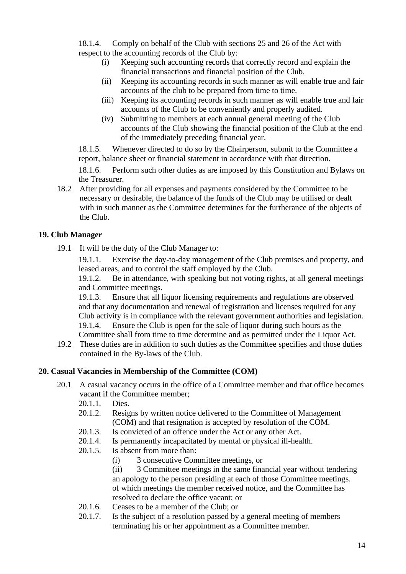18.1.4. Comply on behalf of the Club with sections 25 and 26 of the Act with respect to the accounting records of the Club by:

- (i) Keeping such accounting records that correctly record and explain the financial transactions and financial position of the Club.
- (ii) Keeping its accounting records in such manner as will enable true and fair accounts of the club to be prepared from time to time.
- (iii) Keeping its accounting records in such manner as will enable true and fair accounts of the Club to be conveniently and properly audited.
- (iv) Submitting to members at each annual general meeting of the Club accounts of the Club showing the financial position of the Club at the end of the immediately preceding financial year.

18.1.5. Whenever directed to do so by the Chairperson, submit to the Committee a report, balance sheet or financial statement in accordance with that direction.

18.1.6. Perform such other duties as are imposed by this Constitution and Bylaws on the Treasurer.

18.2 After providing for all expenses and payments considered by the Committee to be necessary or desirable, the balance of the funds of the Club may be utilised or dealt with in such manner as the Committee determines for the furtherance of the objects of the Club.

#### <span id="page-14-0"></span>**19. Club Manager**

19.1 It will be the duty of the Club Manager to:

19.1.1. Exercise the day-to-day management of the Club premises and property, and leased areas, and to control the staff employed by the Club.

19.1.2. Be in attendance, with speaking but not voting rights, at all general meetings and Committee meetings.

<span id="page-14-1"></span>19.1.3. Ensure that all liquor licensing requirements and regulations are observed and that any documentation and renewal of registration and licenses required for any Club activity is in compliance with the relevant government authorities and legislation. 19.1.4. Ensure the Club is open for the sale of liquor during such hours as the Committee shall from time to time determine and as permitted under the Liquor Act.

19.2 These duties are in addition to such duties as the Committee specifies and those duties contained in the By-laws of the Club.

#### **20. Casual Vacancies in Membership of the Committee (COM)**

- 20.1 A casual vacancy occurs in the office of a Committee member and that office becomes vacant if the Committee member;
	- 20.1.1. Dies.
	- 20.1.2. Resigns by written notice delivered to the Committee of Management (COM) and that resignation is accepted by resolution of the COM.
	- 20.1.3. Is convicted of an offence under the Act or any other Act.
	- 20.1.4. Is permanently incapacitated by mental or physical ill-health.
	- 20.1.5. Is absent from more than:
		- (i) 3 consecutive Committee meetings, or

(ii) 3 Committee meetings in the same financial year without tendering an apology to the person presiding at each of those Committee meetings. of which meetings the member received notice, and the Committee has resolved to declare the office vacant; or

- 20.1.6. Ceases to be a member of the Club; or
- 20.1.7. Is the subject of a resolution passed by a general meeting of members terminating his or her appointment as a Committee member.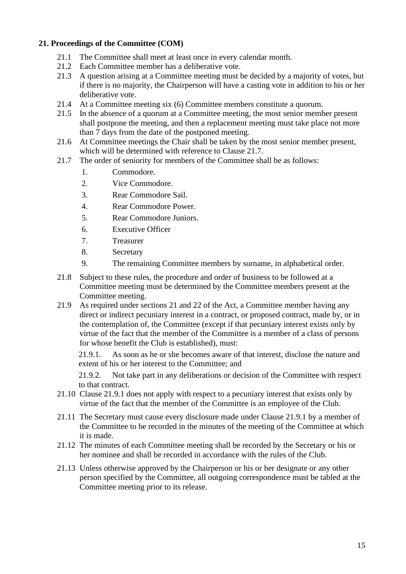#### <span id="page-15-0"></span>**21. Proceedings of the Committee (COM)**

- 21.1 The Committee shall meet at least once in every calendar month.
- 21.2 Each Committee member has a deliberative vote.
- 21.3 A question arising at a Committee meeting must be decided by a majority of votes, but if there is no majority, the Chairperson will have a casting vote in addition to his or her deliberative vote.
- 21.4 At a Committee meeting six (6) Committee members constitute a quorum.
- 21.5 In the absence of a quorum at a Committee meeting, the most senior member present shall postpone the meeting, and then a replacement meeting must take place not more than 7 days from the date of the postponed meeting.
- 21.6 At Committee meetings the Chair shall be taken by the most senior member present, which will be determined with reference to Clause 21.7.
- 21.7 The order of seniority for members of the Committee shall be as follows:
	- 1. Commodore.
	- 2. Vice Commodore.
	- 3. Rear Commodore Sail.
	- 4. Rear Commodore Power.
	- 5. Rear Commodore Juniors.
	- 6. Executive Officer
	- 7. Treasurer
	- 8. Secretary
	- 9. The remaining Committee members by surname, in alphabetical order.
- 21.8 Subject to these rules, the procedure and order of business to be followed at a Committee meeting must be determined by the Committee members present at the Committee meeting.
- 21.9 As required under sections 21 and 22 of the Act, a Committee member having any direct or indirect pecuniary interest in a contract, or proposed contract, made by, or in the contemplation of, the Committee (except if that pecuniary interest exists only by virtue of the fact that the member of the Committee is a member of a class of persons for whose benefit the Club is established), must:

21.9.1. As soon as he or she becomes aware of that interest, disclose the nature and extent of his or her interest to the Committee; and

21.9.2. Not take part in any deliberations or decision of the Committee with respect to that contract.

- 21.10 Clause 21.9.1 does not apply with respect to a pecuniary interest that exists only by virtue of the fact that the member of the Committee is an employee of the Club.
- 21.11 The Secretary must cause every disclosure made under Clause 21.9.1 by a member of the Committee to be recorded in the minutes of the meeting of the Committee at which it is made.
- 21.12 The minutes of each Committee meeting shall be recorded by the Secretary or his or her nominee and shall be recorded in accordance with the rules of the Club.
- 21.13 Unless otherwise approved by the Chairperson or his or her designate or any other person specified by the Committee, all outgoing correspondence must be tabled at the Committee meeting prior to its release.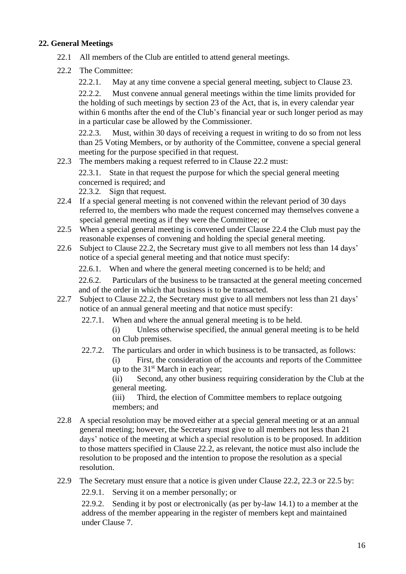#### <span id="page-16-0"></span>**22. General Meetings**

- 22.1 All members of the Club are entitled to attend general meetings.
- 22.2 The Committee:
	- 22.2.1. May at any time convene a special general meeting, subject to Clause 23.

22.2.2. Must convene annual general meetings within the time limits provided for the holding of such meetings by section 23 of the Act, that is, in every calendar year within 6 months after the end of the Club's financial year or such longer period as may in a particular case be allowed by the Commissioner.

22.2.3. Must, within 30 days of receiving a request in writing to do so from not less than 25 Voting Members, or by authority of the Committee, convene a special general meeting for the purpose specified in that request.

22.3 The members making a request referred to in Clause 22.2 must:

22.3.1. State in that request the purpose for which the special general meeting concerned is required; and

22.3.2. Sign that request.

- 22.4 If a special general meeting is not convened within the relevant period of 30 days referred to, the members who made the request concerned may themselves convene a special general meeting as if they were the Committee; or
- 22.5 When a special general meeting is convened under Clause 22.4 the Club must pay the reasonable expenses of convening and holding the special general meeting.
- 22.6 Subject to Clause 22.2, the Secretary must give to all members not less than 14 days' notice of a special general meeting and that notice must specify:
	- 22.6.1. When and where the general meeting concerned is to be held; and

22.6.2. Particulars of the business to be transacted at the general meeting concerned and of the order in which that business is to be transacted.

- 22.7 Subject to Clause 22.2, the Secretary must give to all members not less than 21 days' notice of an annual general meeting and that notice must specify:
	- 22.7.1. When and where the annual general meeting is to be held.
		- (i) Unless otherwise specified, the annual general meeting is to be held on Club premises.
	- 22.7.2. The particulars and order in which business is to be transacted, as follows:
		- (i) First, the consideration of the accounts and reports of the Committee up to the  $31<sup>st</sup>$  March in each year;

(ii) Second, any other business requiring consideration by the Club at the general meeting.

(iii) Third, the election of Committee members to replace outgoing members; and

- 22.8 A special resolution may be moved either at a special general meeting or at an annual general meeting; however, the Secretary must give to all members not less than 21 days' notice of the meeting at which a special resolution is to be proposed. In addition to those matters specified in Clause 22.2, as relevant, the notice must also include the resolution to be proposed and the intention to propose the resolution as a special resolution.
- 22.9 The Secretary must ensure that a notice is given under Clause 22.2, 22.3 or 22.5 by:

22.9.1. Serving it on a member personally; or

22.9.2. Sending it by post or electronically (as per by-law 14.1) to a member at the address of the member appearing in the register of members kept and maintained under Clause 7.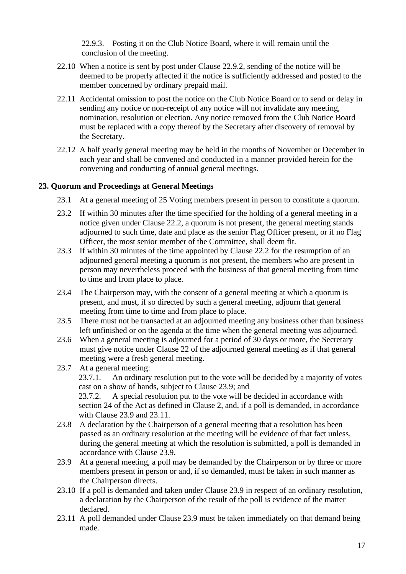22.9.3. Posting it on the Club Notice Board, where it will remain until the conclusion of the meeting.

- 22.10 When a notice is sent by post under Clause 22.9.2, sending of the notice will be deemed to be properly affected if the notice is sufficiently addressed and posted to the member concerned by ordinary prepaid mail.
- 22.11 Accidental omission to post the notice on the Club Notice Board or to send or delay in sending any notice or non-receipt of any notice will not invalidate any meeting, nomination, resolution or election. Any notice removed from the Club Notice Board must be replaced with a copy thereof by the Secretary after discovery of removal by the Secretary.
- 22.12 A half yearly general meeting may be held in the months of November or December in each year and shall be convened and conducted in a manner provided herein for the convening and conducting of annual general meetings.

#### <span id="page-17-0"></span>**23. Quorum and Proceedings at General Meetings**

- 23.1 At a general meeting of 25 Voting members present in person to constitute a quorum.
- 23.2 If within 30 minutes after the time specified for the holding of a general meeting in a notice given under Clause 22.2, a quorum is not present, the general meeting stands adjourned to such time, date and place as the senior Flag Officer present, or if no Flag Officer, the most senior member of the Committee, shall deem fit.
- 23.3 If within 30 minutes of the time appointed by Clause 22.2 for the resumption of an adjourned general meeting a quorum is not present, the members who are present in person may nevertheless proceed with the business of that general meeting from time to time and from place to place.
- 23.4 The Chairperson may, with the consent of a general meeting at which a quorum is present, and must, if so directed by such a general meeting, adjourn that general meeting from time to time and from place to place.
- 23.5 There must not be transacted at an adjourned meeting any business other than business left unfinished or on the agenda at the time when the general meeting was adjourned.
- 23.6 When a general meeting is adjourned for a period of 30 days or more, the Secretary must give notice under Clause 22 of the adjourned general meeting as if that general meeting were a fresh general meeting.
- 23.7 At a general meeting: 23.7.1. An ordinary resolution put to the vote will be decided by a majority of votes cast on a show of hands, subject to Clause 23.9; and 23.7.2. A special resolution put to the vote will be decided in accordance with section 24 of the Act as defined in Clause 2, and, if a poll is demanded, in accordance with Clause 23.9 and 23.11.
- 23.8 A declaration by the Chairperson of a general meeting that a resolution has been passed as an ordinary resolution at the meeting will be evidence of that fact unless, during the general meeting at which the resolution is submitted, a poll is demanded in accordance with Clause 23.9.
- 23.9 At a general meeting, a poll may be demanded by the Chairperson or by three or more members present in person or and, if so demanded, must be taken in such manner as the Chairperson directs.
- 23.10 If a poll is demanded and taken under Clause 23.9 in respect of an ordinary resolution, a declaration by the Chairperson of the result of the poll is evidence of the matter declared.
- 23.11 A poll demanded under Clause 23.9 must be taken immediately on that demand being made.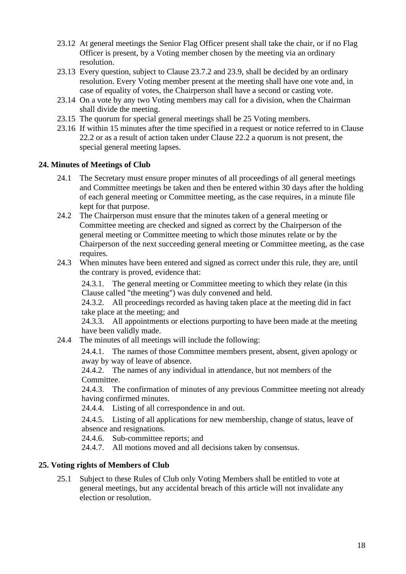- 23.12 At general meetings the Senior Flag Officer present shall take the chair, or if no Flag Officer is present, by a Voting member chosen by the meeting via an ordinary resolution.
- 23.13 Every question, subject to Clause 23.7.2 and 23.9, shall be decided by an ordinary resolution. Every Voting member present at the meeting shall have one vote and, in case of equality of votes, the Chairperson shall have a second or casting vote.
- 23.14 On a vote by any two Voting members may call for a division, when the Chairman shall divide the meeting.
- 23.15 The quorum for special general meetings shall be 25 Voting members.
- 23.16 If within 15 minutes after the time specified in a request or notice referred to in Clause 22.2 or as a result of action taken under Clause 22.2 a quorum is not present, the special general meeting lapses.

#### <span id="page-18-0"></span>**24. Minutes of Meetings of Club**

- 24.1 The Secretary must ensure proper minutes of all proceedings of all general meetings and Committee meetings be taken and then be entered within 30 days after the holding of each general meeting or Committee meeting, as the case requires, in a minute file kept for that purpose.
- 24.2 The Chairperson must ensure that the minutes taken of a general meeting or Committee meeting are checked and signed as correct by the Chairperson of the general meeting or Committee meeting to which those minutes relate or by the Chairperson of the next succeeding general meeting or Committee meeting, as the case requires.
- 24.3 When minutes have been entered and signed as correct under this rule, they are, until the contrary is proved, evidence that:

24.3.1. The general meeting or Committee meeting to which they relate (in this Clause called "the meeting") was duly convened and held.

24.3.2. All proceedings recorded as having taken place at the meeting did in fact take place at the meeting; and

24.3.3. All appointments or elections purporting to have been made at the meeting have been validly made.

24.4 The minutes of all meetings will include the following:

24.4.1. The names of those Committee members present, absent, given apology or away by way of leave of absence.

24.4.2. The names of any individual in attendance, but not members of the Committee.

24.4.3. The confirmation of minutes of any previous Committee meeting not already having confirmed minutes.

24.4.4. Listing of all correspondence in and out.

24.4.5. Listing of all applications for new membership, change of status, leave of absence and resignations.

- 24.4.6. Sub-committee reports; and
- 24.4.7. All motions moved and all decisions taken by consensus.

#### <span id="page-18-1"></span>**25. Voting rights of Members of Club**

25.1 Subject to these Rules of Club only Voting Members shall be entitled to vote at general meetings, but any accidental breach of this article will not invalidate any election or resolution.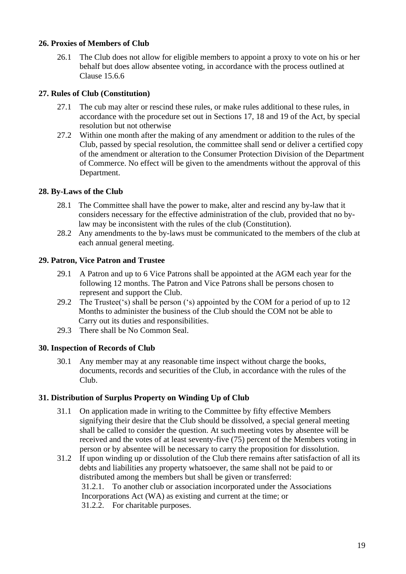#### <span id="page-19-0"></span>**26. Proxies of Members of Club**

26.1 The Club does not allow for eligible members to appoint a proxy to vote on his or her behalf but does allow absentee voting, in accordance with the process outlined at Clause 15.6.6

#### <span id="page-19-1"></span>**27. Rules of Club (Constitution)**

- 27.1 The cub may alter or rescind these rules, or make rules additional to these rules, in accordance with the procedure set out in Sections 17, 18 and 19 of the Act, by special resolution but not otherwise
- 27.2 Within one month after the making of any amendment or addition to the rules of the Club, passed by special resolution, the committee shall send or deliver a certified copy of the amendment or alteration to the Consumer Protection Division of the Department of Commerce. No effect will be given to the amendments without the approval of this Department.

#### **28. By-Laws of the Club**

- <span id="page-19-2"></span>28.1 The Committee shall have the power to make, alter and rescind any by-law that it considers necessary for the effective administration of the club, provided that no bylaw may be inconsistent with the rules of the club (Constitution).
- 28.2 Any amendments to the by-laws must be communicated to the members of the club at each annual general meeting.

#### <span id="page-19-3"></span>**29. Patron, Vice Patron and Trustee**

- 29.1 A Patron and up to 6 Vice Patrons shall be appointed at the AGM each year for the following 12 months. The Patron and Vice Patrons shall be persons chosen to represent and support the Club.
- 29.2 The Trustee('s) shall be person ('s) appointed by the COM for a period of up to 12 Months to administer the business of the Club should the COM not be able to Carry out its duties and responsibilities.
- 29.3 There shall be No Common Seal.

#### <span id="page-19-4"></span>**30. Inspection of Records of Club**

30.1 Any member may at any reasonable time inspect without charge the books, documents, records and securities of the Club, in accordance with the rules of the Club.

#### <span id="page-19-5"></span>**31. Distribution of Surplus Property on Winding Up of Club**

- 31.1 On application made in writing to the Committee by fifty effective Members signifying their desire that the Club should be dissolved, a special general meeting shall be called to consider the question. At such meeting votes by absentee will be received and the votes of at least seventy-five (75) percent of the Members voting in person or by absentee will be necessary to carry the proposition for dissolution.
- 31.2 If upon winding up or dissolution of the Club there remains after satisfaction of all its debts and liabilities any property whatsoever, the same shall not be paid to or distributed among the members but shall be given or transferred: 31.2.1. To another club or association incorporated under the Associations Incorporations Act (WA) as existing and current at the time; or 31.2.2. For charitable purposes.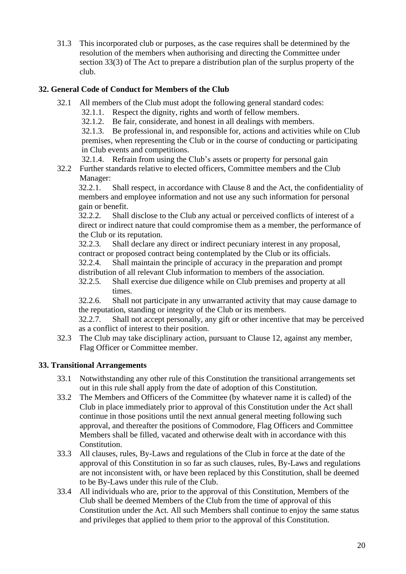31.3 This incorporated club or purposes, as the case requires shall be determined by the resolution of the members when authorising and directing the Committee under section 33(3) of The Act to prepare a distribution plan of the surplus property of the club.

#### <span id="page-20-0"></span>**32. General Code of Conduct for Members of the Club**

- 32.1 All members of the Club must adopt the following general standard codes:
	- 32.1.1. Respect the dignity, rights and worth of fellow members.
	- 32.1.2. Be fair, considerate, and honest in all dealings with members.

32.1.3. Be professional in, and responsible for, actions and activities while on Club premises, when representing the Club or in the course of conducting or participating in Club events and competitions.

32.1.4. Refrain from using the Club's assets or property for personal gain

32.2 Further standards relative to elected officers, Committee members and the Club Manager:

32.2.1. Shall respect, in accordance with Clause 8 and the Act, the confidentiality of members and employee information and not use any such information for personal gain or benefit.

32.2.2. Shall disclose to the Club any actual or perceived conflicts of interest of a direct or indirect nature that could compromise them as a member, the performance of the Club or its reputation.

32.2.3. Shall declare any direct or indirect pecuniary interest in any proposal, contract or proposed contract being contemplated by the Club or its officials.

32.2.4. Shall maintain the principle of accuracy in the preparation and prompt distribution of all relevant Club information to members of the association.

32.2.5. Shall exercise due diligence while on Club premises and property at all times.

32.2.6. Shall not participate in any unwarranted activity that may cause damage to the reputation, standing or integrity of the Club or its members.

32.2.7. Shall not accept personally, any gift or other incentive that may be perceived as a conflict of interest to their position.

32.3 The Club may take disciplinary action, pursuant to Clause 12, against any member, Flag Officer or Committee member.

#### <span id="page-20-1"></span>**33. Transitional Arrangements**

- 33.1 Notwithstanding any other rule of this Constitution the transitional arrangements set out in this rule shall apply from the date of adoption of this Constitution.
- 33.2 The Members and Officers of the Committee (by whatever name it is called) of the Club in place immediately prior to approval of this Constitution under the Act shall continue in those positions until the next annual general meeting following such approval, and thereafter the positions of Commodore, Flag Officers and Committee Members shall be filled, vacated and otherwise dealt with in accordance with this Constitution.
- 33.3 All clauses, rules, By-Laws and regulations of the Club in force at the date of the approval of this Constitution in so far as such clauses, rules, By-Laws and regulations are not inconsistent with, or have been replaced by this Constitution, shall be deemed to be By-Laws under this rule of the Club.
- 33.4 All individuals who are, prior to the approval of this Constitution, Members of the Club shall be deemed Members of the Club from the time of approval of this Constitution under the Act. All such Members shall continue to enjoy the same status and privileges that applied to them prior to the approval of this Constitution.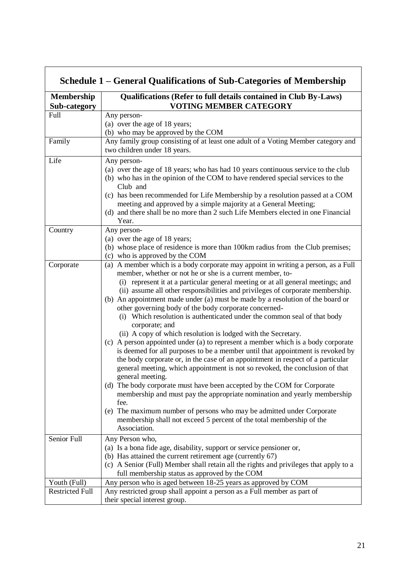|                                        | Schedule 1 - General Qualifications of Sub-Categories of Membership                                                                                                                                                                                                                                                                                                                                                                                                                                                                                                                                                                                                                                                                                                                                                                                                                                                                                                                                                                                                                                                                                                                                                                                                                                                         |
|----------------------------------------|-----------------------------------------------------------------------------------------------------------------------------------------------------------------------------------------------------------------------------------------------------------------------------------------------------------------------------------------------------------------------------------------------------------------------------------------------------------------------------------------------------------------------------------------------------------------------------------------------------------------------------------------------------------------------------------------------------------------------------------------------------------------------------------------------------------------------------------------------------------------------------------------------------------------------------------------------------------------------------------------------------------------------------------------------------------------------------------------------------------------------------------------------------------------------------------------------------------------------------------------------------------------------------------------------------------------------------|
| <b>Membership</b><br>Sub-category      | Qualifications (Refer to full details contained in Club By-Laws)<br><b>VOTING MEMBER CATEGORY</b>                                                                                                                                                                                                                                                                                                                                                                                                                                                                                                                                                                                                                                                                                                                                                                                                                                                                                                                                                                                                                                                                                                                                                                                                                           |
| Full                                   | Any person-<br>(a) over the age of 18 years;<br>(b) who may be approved by the COM                                                                                                                                                                                                                                                                                                                                                                                                                                                                                                                                                                                                                                                                                                                                                                                                                                                                                                                                                                                                                                                                                                                                                                                                                                          |
| Family                                 | Any family group consisting of at least one adult of a Voting Member category and<br>two children under 18 years.                                                                                                                                                                                                                                                                                                                                                                                                                                                                                                                                                                                                                                                                                                                                                                                                                                                                                                                                                                                                                                                                                                                                                                                                           |
| Life                                   | Any person-<br>(a) over the age of 18 years; who has had 10 years continuous service to the club<br>(b) who has in the opinion of the COM to have rendered special services to the<br>Club and<br>(c) has been recommended for Life Membership by a resolution passed at a COM<br>meeting and approved by a simple majority at a General Meeting;<br>(d) and there shall be no more than 2 such Life Members elected in one Financial<br>Year.                                                                                                                                                                                                                                                                                                                                                                                                                                                                                                                                                                                                                                                                                                                                                                                                                                                                              |
| Country                                | Any person-<br>(a) over the age of 18 years;<br>(b) whose place of residence is more than 100km radius from the Club premises;<br>(c) who is approved by the COM                                                                                                                                                                                                                                                                                                                                                                                                                                                                                                                                                                                                                                                                                                                                                                                                                                                                                                                                                                                                                                                                                                                                                            |
| Corporate                              | (a) A member which is a body corporate may appoint in writing a person, as a Full<br>member, whether or not he or she is a current member, to-<br>(i) represent it at a particular general meeting or at all general meetings; and<br>(ii) assume all other responsibilities and privileges of corporate membership.<br>(b) An appointment made under (a) must be made by a resolution of the board or<br>other governing body of the body corporate concerned-<br>(i) Which resolution is authenticated under the common seal of that body<br>corporate; and<br>(ii) A copy of which resolution is lodged with the Secretary.<br>(c) A person appointed under (a) to represent a member which is a body corporate<br>is deemed for all purposes to be a member until that appointment is revoked by<br>the body corporate or, in the case of an appointment in respect of a particular<br>general meeting, which appointment is not so revoked, the conclusion of that<br>general meeting.<br>(d) The body corporate must have been accepted by the COM for Corporate<br>membership and must pay the appropriate nomination and yearly membership<br>fee.<br>(e) The maximum number of persons who may be admitted under Corporate<br>membership shall not exceed 5 percent of the total membership of the<br>Association. |
| Senior Full                            | Any Person who,<br>(a) Is a bona fide age, disability, support or service pensioner or,<br>(b) Has attained the current retirement age (currently 67)<br>(c) A Senior (Full) Member shall retain all the rights and privileges that apply to a<br>full membership status as approved by the COM                                                                                                                                                                                                                                                                                                                                                                                                                                                                                                                                                                                                                                                                                                                                                                                                                                                                                                                                                                                                                             |
| Youth (Full)<br><b>Restricted Full</b> | Any person who is aged between 18-25 years as approved by COM<br>Any restricted group shall appoint a person as a Full member as part of<br>their special interest group.                                                                                                                                                                                                                                                                                                                                                                                                                                                                                                                                                                                                                                                                                                                                                                                                                                                                                                                                                                                                                                                                                                                                                   |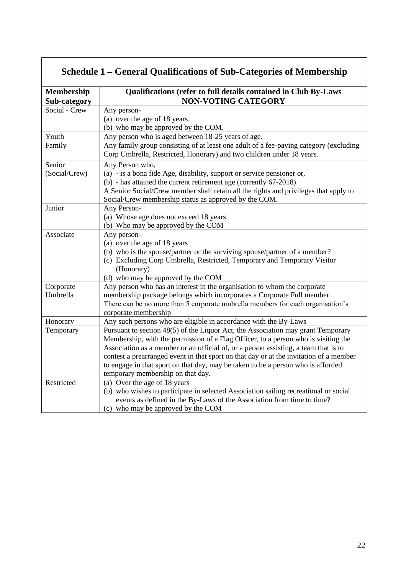<span id="page-22-0"></span>

| <b>Membership</b> | Qualifications (refer to full details contained in Club By-Laws                                                                                                |  |  |  |  |  |  |  |  |  |
|-------------------|----------------------------------------------------------------------------------------------------------------------------------------------------------------|--|--|--|--|--|--|--|--|--|
| Sub-category      | <b>NON-VOTING CATEGORY</b>                                                                                                                                     |  |  |  |  |  |  |  |  |  |
| Social - Crew     | Any person-                                                                                                                                                    |  |  |  |  |  |  |  |  |  |
|                   | (a) over the age of 18 years.                                                                                                                                  |  |  |  |  |  |  |  |  |  |
|                   | (b) who may be approved by the COM.                                                                                                                            |  |  |  |  |  |  |  |  |  |
| Youth             | Any person who is aged between 18-25 years of age.                                                                                                             |  |  |  |  |  |  |  |  |  |
| Family            | Any family group consisting of at least one adult of a fee-paying category (excluding<br>Corp Umbrella, Restricted, Honorary) and two children under 18 years. |  |  |  |  |  |  |  |  |  |
| Senior            | Any Person who,                                                                                                                                                |  |  |  |  |  |  |  |  |  |
| (Social/Crew)     | (a) - is a bona fide Age, disability, support or service pensioner or,                                                                                         |  |  |  |  |  |  |  |  |  |
|                   | (b) - has attained the current retirement age (currently 67-2018)                                                                                              |  |  |  |  |  |  |  |  |  |
|                   | A Senior Social/Crew member shall retain all the rights and privileges that apply to                                                                           |  |  |  |  |  |  |  |  |  |
|                   | Social/Crew membership status as approved by the COM.                                                                                                          |  |  |  |  |  |  |  |  |  |
| Junior            | Any Person-                                                                                                                                                    |  |  |  |  |  |  |  |  |  |
|                   | (a) Whose age does not exceed 18 years                                                                                                                         |  |  |  |  |  |  |  |  |  |
|                   | (b) Who may be approved by the COM                                                                                                                             |  |  |  |  |  |  |  |  |  |
| Associate         | Any person-                                                                                                                                                    |  |  |  |  |  |  |  |  |  |
|                   | (a) over the age of 18 years                                                                                                                                   |  |  |  |  |  |  |  |  |  |
|                   | (b) who is the spouse/partner or the surviving spouse/partner of a member?                                                                                     |  |  |  |  |  |  |  |  |  |
|                   | (c) Excluding Corp Umbrella, Restricted, Temporary and Temporary Visitor                                                                                       |  |  |  |  |  |  |  |  |  |
|                   | (Honorary)                                                                                                                                                     |  |  |  |  |  |  |  |  |  |
|                   | (d) who may be approved by the COM                                                                                                                             |  |  |  |  |  |  |  |  |  |
| Corporate         | Any person who has an interest in the organisation to whom the corporate                                                                                       |  |  |  |  |  |  |  |  |  |
| Umbrella          | membership package belongs which incorporates a Corporate Full member.                                                                                         |  |  |  |  |  |  |  |  |  |
|                   | There can be no more than 5 corporate umbrella members for each organisation's                                                                                 |  |  |  |  |  |  |  |  |  |
|                   | corporate membership                                                                                                                                           |  |  |  |  |  |  |  |  |  |
| Honorary          | Any such persons who are eligible in accordance with the By-Laws                                                                                               |  |  |  |  |  |  |  |  |  |
| Temporary         | Pursuant to section 48(5) of the Liquor Act, the Association may grant Temporary                                                                               |  |  |  |  |  |  |  |  |  |
|                   | Membership, with the permission of a Flag Officer, to a person who is visiting the                                                                             |  |  |  |  |  |  |  |  |  |
|                   | Association as a member or an official of, or a person assisting, a team that is to                                                                            |  |  |  |  |  |  |  |  |  |
|                   | contest a prearranged event in that sport on that day or at the invitation of a member                                                                         |  |  |  |  |  |  |  |  |  |
|                   | to engage in that sport on that day, may be taken to be a person who is afforded                                                                               |  |  |  |  |  |  |  |  |  |
|                   | temporary membership on that day.                                                                                                                              |  |  |  |  |  |  |  |  |  |
| Restricted        | (a) Over the age of 18 years                                                                                                                                   |  |  |  |  |  |  |  |  |  |
|                   | (b) who wishes to participate in selected Association sailing recreational or social                                                                           |  |  |  |  |  |  |  |  |  |
|                   | events as defined in the By-Laws of the Association from time to time?                                                                                         |  |  |  |  |  |  |  |  |  |
|                   | (c) who may be approved by the COM                                                                                                                             |  |  |  |  |  |  |  |  |  |

### **Schedule 1 – General Qualifications of Sub-Categories of Membership**